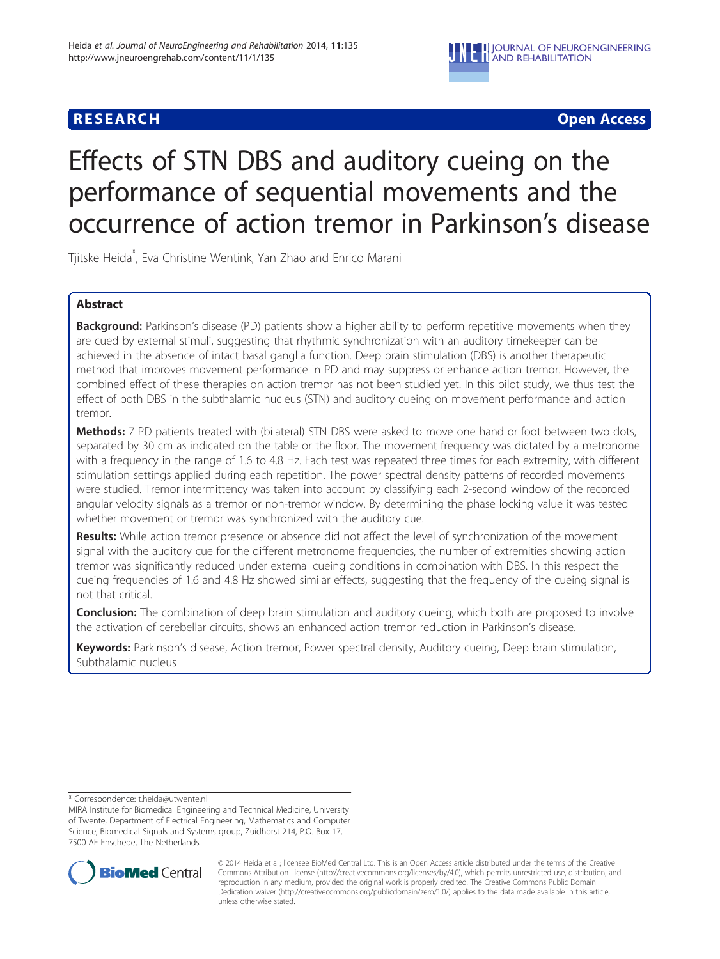

## **RESEARCH CHINESE ARCH CHINESE ARCH CHINESE ARCH <b>CHINESE ARCH**

# Effects of STN DBS and auditory cueing on the performance of sequential movements and the occurrence of action tremor in Parkinson's disease

Tjitske Heida\* , Eva Christine Wentink, Yan Zhao and Enrico Marani

## Abstract

Background: Parkinson's disease (PD) patients show a higher ability to perform repetitive movements when they are cued by external stimuli, suggesting that rhythmic synchronization with an auditory timekeeper can be achieved in the absence of intact basal ganglia function. Deep brain stimulation (DBS) is another therapeutic method that improves movement performance in PD and may suppress or enhance action tremor. However, the combined effect of these therapies on action tremor has not been studied yet. In this pilot study, we thus test the effect of both DBS in the subthalamic nucleus (STN) and auditory cueing on movement performance and action tremor.

**Methods:** 7 PD patients treated with (bilateral) STN DBS were asked to move one hand or foot between two dots, separated by 30 cm as indicated on the table or the floor. The movement frequency was dictated by a metronome with a frequency in the range of 1.6 to 4.8 Hz. Each test was repeated three times for each extremity, with different stimulation settings applied during each repetition. The power spectral density patterns of recorded movements were studied. Tremor intermittency was taken into account by classifying each 2-second window of the recorded angular velocity signals as a tremor or non-tremor window. By determining the phase locking value it was tested whether movement or tremor was synchronized with the auditory cue.

Results: While action tremor presence or absence did not affect the level of synchronization of the movement signal with the auditory cue for the different metronome frequencies, the number of extremities showing action tremor was significantly reduced under external cueing conditions in combination with DBS. In this respect the cueing frequencies of 1.6 and 4.8 Hz showed similar effects, suggesting that the frequency of the cueing signal is not that critical.

**Conclusion:** The combination of deep brain stimulation and auditory cueing, which both are proposed to involve the activation of cerebellar circuits, shows an enhanced action tremor reduction in Parkinson's disease.

Keywords: Parkinson's disease, Action tremor, Power spectral density, Auditory cueing, Deep brain stimulation, Subthalamic nucleus

\* Correspondence: [t.heida@utwente.nl](mailto:t.heida@utwente.nl)

MIRA Institute for Biomedical Engineering and Technical Medicine, University of Twente, Department of Electrical Engineering, Mathematics and Computer Science, Biomedical Signals and Systems group, Zuidhorst 214, P.O. Box 17, 7500 AE Enschede, The Netherlands



© 2014 Heida et al.; licensee BioMed Central Ltd. This is an Open Access article distributed under the terms of the Creative Commons Attribution License [\(http://creativecommons.org/licenses/by/4.0\)](http://creativecommons.org/licenses/by/4.0), which permits unrestricted use, distribution, and reproduction in any medium, provided the original work is properly credited. The Creative Commons Public Domain Dedication waiver [\(http://creativecommons.org/publicdomain/zero/1.0/](http://creativecommons.org/publicdomain/zero/1.0/)) applies to the data made available in this article, unless otherwise stated.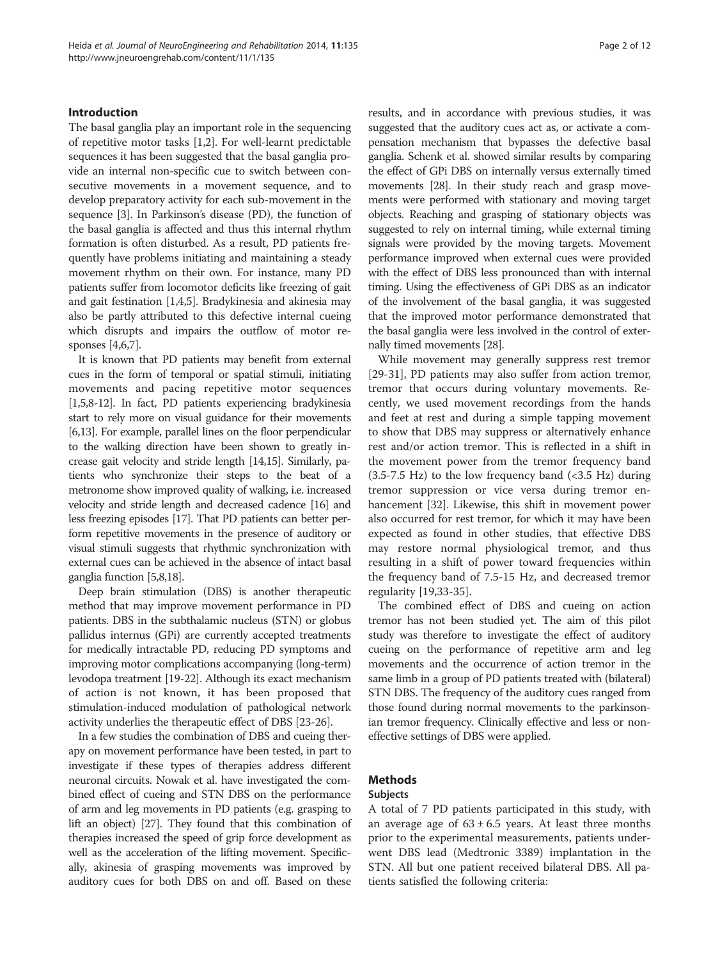#### Introduction

The basal ganglia play an important role in the sequencing of repetitive motor tasks [\[1,2\]](#page-10-0). For well-learnt predictable sequences it has been suggested that the basal ganglia provide an internal non-specific cue to switch between consecutive movements in a movement sequence, and to develop preparatory activity for each sub-movement in the sequence [[3\]](#page-10-0). In Parkinson's disease (PD), the function of the basal ganglia is affected and thus this internal rhythm formation is often disturbed. As a result, PD patients frequently have problems initiating and maintaining a steady movement rhythm on their own. For instance, many PD patients suffer from locomotor deficits like freezing of gait and gait festination [\[1,4,5](#page-10-0)]. Bradykinesia and akinesia may also be partly attributed to this defective internal cueing which disrupts and impairs the outflow of motor responses [\[4,6,7\]](#page-10-0).

It is known that PD patients may benefit from external cues in the form of temporal or spatial stimuli, initiating movements and pacing repetitive motor sequences [[1,5,8-12](#page-10-0)]. In fact, PD patients experiencing bradykinesia start to rely more on visual guidance for their movements [[6,13\]](#page-10-0). For example, parallel lines on the floor perpendicular to the walking direction have been shown to greatly increase gait velocity and stride length [\[14,15\]](#page-10-0). Similarly, patients who synchronize their steps to the beat of a metronome show improved quality of walking, i.e. increased velocity and stride length and decreased cadence [[16](#page-10-0)] and less freezing episodes [\[17\]](#page-10-0). That PD patients can better perform repetitive movements in the presence of auditory or visual stimuli suggests that rhythmic synchronization with external cues can be achieved in the absence of intact basal ganglia function [[5,8,18](#page-10-0)].

Deep brain stimulation (DBS) is another therapeutic method that may improve movement performance in PD patients. DBS in the subthalamic nucleus (STN) or globus pallidus internus (GPi) are currently accepted treatments for medically intractable PD, reducing PD symptoms and improving motor complications accompanying (long-term) levodopa treatment [\[19-22\]](#page-10-0). Although its exact mechanism of action is not known, it has been proposed that stimulation-induced modulation of pathological network activity underlies the therapeutic effect of DBS [[23](#page-10-0)-[26](#page-10-0)].

In a few studies the combination of DBS and cueing therapy on movement performance have been tested, in part to investigate if these types of therapies address different neuronal circuits. Nowak et al. have investigated the combined effect of cueing and STN DBS on the performance of arm and leg movements in PD patients (e.g. grasping to lift an object) [[27](#page-10-0)]. They found that this combination of therapies increased the speed of grip force development as well as the acceleration of the lifting movement. Specifically, akinesia of grasping movements was improved by auditory cues for both DBS on and off. Based on these

results, and in accordance with previous studies, it was suggested that the auditory cues act as, or activate a compensation mechanism that bypasses the defective basal ganglia. Schenk et al. showed similar results by comparing the effect of GPi DBS on internally versus externally timed movements [[28](#page-10-0)]. In their study reach and grasp movements were performed with stationary and moving target objects. Reaching and grasping of stationary objects was suggested to rely on internal timing, while external timing signals were provided by the moving targets. Movement performance improved when external cues were provided with the effect of DBS less pronounced than with internal timing. Using the effectiveness of GPi DBS as an indicator of the involvement of the basal ganglia, it was suggested that the improved motor performance demonstrated that the basal ganglia were less involved in the control of externally timed movements [[28](#page-10-0)].

While movement may generally suppress rest tremor [[29-31](#page-10-0)], PD patients may also suffer from action tremor, tremor that occurs during voluntary movements. Recently, we used movement recordings from the hands and feet at rest and during a simple tapping movement to show that DBS may suppress or alternatively enhance rest and/or action tremor. This is reflected in a shift in the movement power from the tremor frequency band  $(3.5-7.5 \text{ Hz})$  to the low frequency band  $( $3.5 \text{ Hz}$ )$  during tremor suppression or vice versa during tremor enhancement [\[32](#page-10-0)]. Likewise, this shift in movement power also occurred for rest tremor, for which it may have been expected as found in other studies, that effective DBS may restore normal physiological tremor, and thus resulting in a shift of power toward frequencies within the frequency band of 7.5-15 Hz, and decreased tremor regularity [[19](#page-10-0),[33](#page-10-0)-[35\]](#page-10-0).

The combined effect of DBS and cueing on action tremor has not been studied yet. The aim of this pilot study was therefore to investigate the effect of auditory cueing on the performance of repetitive arm and leg movements and the occurrence of action tremor in the same limb in a group of PD patients treated with (bilateral) STN DBS. The frequency of the auditory cues ranged from those found during normal movements to the parkinsonian tremor frequency. Clinically effective and less or noneffective settings of DBS were applied.

## Methods

#### Subjects

A total of 7 PD patients participated in this study, with an average age of  $63 \pm 6.5$  years. At least three months prior to the experimental measurements, patients underwent DBS lead (Medtronic 3389) implantation in the STN. All but one patient received bilateral DBS. All patients satisfied the following criteria: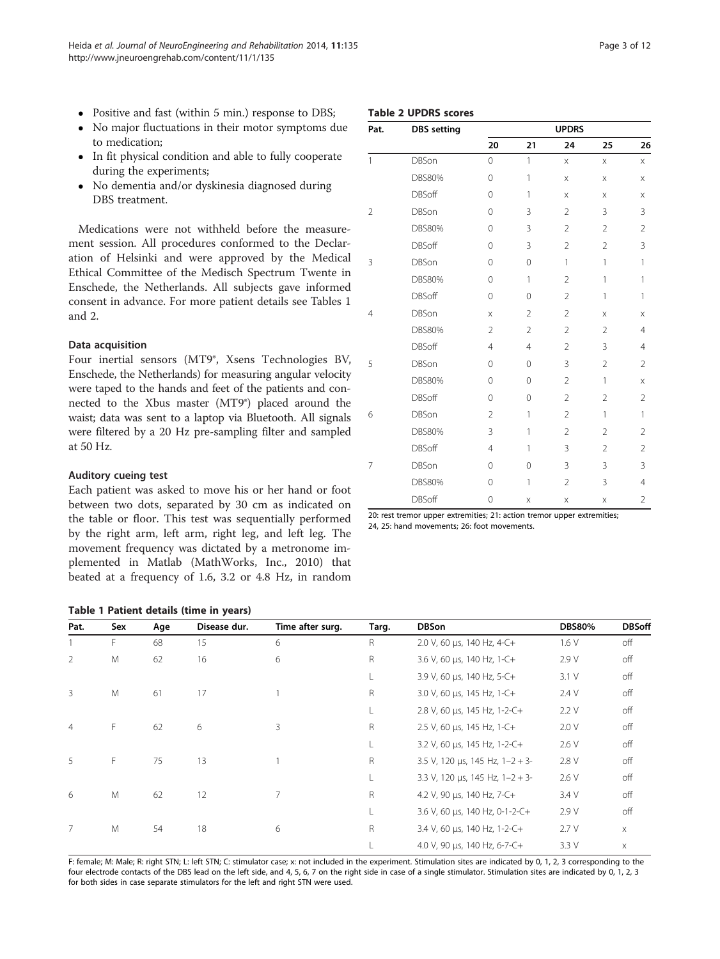- Positive and fast (within 5 min.) response to DBS;
- No major fluctuations in their motor symptoms due to medication;
- In fit physical condition and able to fully cooperate during the experiments;
- No dementia and/or dyskinesia diagnosed during DBS treatment.

Medications were not withheld before the measurement session. All procedures conformed to the Declaration of Helsinki and were appr Ethical Committee of the Medisch Enschede, the Netherlands. All subconsent in advance. For more patie and 2.

#### Data acquisition

Four inertial sensors (MT9 $^{\circ}$ , Xsens Technology, Xsens Technology, Xsens Technology, Xsens Eq. Enschede, the Netherlands) for mea were taped to the hands and feet of nected to the Xbus master (MT9 waist; data was sent to a laptop via were filtered by a 20 Hz pre-sampl at 50 Hz.

#### Auditory cueing test

Each patient was asked to move his or her hand or foot between two dots, separated by 30 cm as indicated on the table or floor. This test was sequentially performed by the right arm, left arm, right leg, and left leg. The movement frequency was dictated by a metronome implemented in Matlab (MathWorks, Inc., 2010) that beated at a frequency of 1.6, 3.2 or 4.8 Hz, in random

| oved by the Medical                                        | ζ | <b>DBSon</b>  |
|------------------------------------------------------------|---|---------------|
| ่ Spectrum Twente in                                       |   | <b>DBS80%</b> |
| abjects gave informed<br>ent details see Tables 1          |   | <b>DBSoff</b> |
|                                                            | 4 | <b>DBSon</b>  |
|                                                            |   | <b>DBS80%</b> |
|                                                            |   | <b>DBSoff</b> |
| ens Technologies BV,                                       | 5 | <b>DBSon</b>  |
| suring angular velocity                                    |   | <b>DBS80%</b> |
| f the patients and con-<br>$9^{\circ}$ ) placed around the |   | <b>DBSoff</b> |
| Bluetooth. All signals                                     | 6 | <b>DBSon</b>  |
| ling filter and sampled                                    |   | <b>DBS80%</b> |

#### Table 2 UPDRS scores

| Pat.                                    | <b>DBS</b> setting |                |                | <b>UPDRS</b>   |                |                |
|-----------------------------------------|--------------------|----------------|----------------|----------------|----------------|----------------|
|                                         |                    | 20             | 21             | 24             | 25             | 26             |
| $\mathbf{1}$                            | <b>DBSon</b>       | $\overline{0}$ | 1              | $\times$       | $\times$       | X              |
| $\overline{2}$<br>3<br>4<br>5<br>6<br>7 | <b>DBS80%</b>      | $\overline{O}$ | 1              | $\times$       | $\times$       | X              |
|                                         | <b>DBSoff</b>      | $\Omega$       | 1              | X              | X              | Χ              |
|                                         | DBSon              | $\overline{O}$ | 3              | $\overline{2}$ | 3              | 3              |
|                                         | DBS80%             | $\Omega$       | 3              | $\overline{2}$ | $\overline{2}$ | $\overline{2}$ |
|                                         | <b>DBSoff</b>      | $\mathbf 0$    | 3              | $\overline{2}$ | $\overline{2}$ | 3              |
|                                         | DBSon              | $\Omega$       | 0              | $\mathbf{1}$   | $\mathbf{1}$   | 1              |
|                                         | <b>DBS80%</b>      | 0              | $\mathbf{1}$   | $\overline{2}$ | 1              | 1              |
|                                         | DBSoff             | $\overline{0}$ | 0              | $\overline{2}$ | 1              | 1              |
|                                         | <b>DBSon</b>       | $\times$       | $\overline{2}$ | $\overline{2}$ | X              | X              |
|                                         | <b>DBS80%</b>      | $\overline{2}$ | $\overline{2}$ | $\overline{2}$ | $\overline{2}$ | 4              |
|                                         | <b>DBSoff</b>      | $\overline{4}$ | $\overline{4}$ | $\overline{2}$ | 3              | $\overline{4}$ |
|                                         | DBSon              | $\Omega$       | $\overline{0}$ | 3              | $\overline{2}$ | $\overline{2}$ |
|                                         | DBS80%             | $\Omega$       | $\mathbf 0$    | $\overline{2}$ | 1              | Χ              |
|                                         | <b>DBSoff</b>      | $\overline{O}$ | 0              | $\overline{2}$ | $\overline{2}$ | $\overline{2}$ |
|                                         | DBSon              | $\mathfrak{D}$ | 1              | $\mathfrak{D}$ | 1              | 1              |
|                                         | <b>DBS80%</b>      | 3              | 1              | $\overline{2}$ | $\overline{2}$ | $\overline{2}$ |
|                                         | <b>DBSoff</b>      | $\overline{4}$ | 1              | 3              | $\overline{2}$ | $\overline{2}$ |
|                                         | <b>DBSon</b>       | 0              | $\overline{0}$ | 3              | 3              | 3              |
|                                         | DBS80%             | $\Omega$       | 1              | $\overline{2}$ | 3              | $\overline{4}$ |
|                                         | DBSoff             | 0              | X              | X              | X              | $\overline{2}$ |
|                                         |                    |                |                |                |                |                |

20: rest tremor upper extremities; 21: action tremor upper extremities; 24, 25: hand movements; 26: foot movements.

| Table 1 Patient details (time in years) |  |  |
|-----------------------------------------|--|--|

| Pat.                | Sex | Age | Disease dur. | Time after surg. | Targ.                           | <b>DBSon</b>                          | <b>DBS80%</b> | <b>DBSoff</b> |
|---------------------|-----|-----|--------------|------------------|---------------------------------|---------------------------------------|---------------|---------------|
|                     | F.  | 68  | 15           | 6                | R                               | 2.0 V, 60 µs, 140 Hz, 4-C+            | 1.6V          | off           |
| 2                   | M   | 62  | 16           | 6                | $\mathsf{R}$                    | 3.6 V, 60 $\mu$ s, 140 Hz, 1-C+       | 2.9V          | off           |
|                     |     |     |              |                  | L.                              | 3.9 V, 60 µs, 140 Hz, 5-C+            | 3.1 V         | off           |
| M<br>3              | 61  | 17  |              | R                | 3.0 V, 60 µs, 145 Hz, 1-C+      | 2.4V                                  | off           |               |
|                     |     |     |              |                  |                                 | 2.8 V, 60 µs, 145 Hz, 1-2-C+          | 2.2V          | off           |
| F<br>$\overline{4}$ | 62  | 6   | 3            | R                | 2.5 V, 60 $\mu$ s, 145 Hz, 1-C+ | 2.0V                                  | off           |               |
|                     |     |     |              |                  | L.                              | 3.2 V, 60 µs, 145 Hz, 1-2-C+          | 2.6V          | off           |
| F<br>5              | 75  | 13  |              | R                | 3.5 V, 120 µs, 145 Hz, $1-2+3-$ | 2.8 V                                 | off           |               |
|                     |     |     |              |                  |                                 | 3.3 V, 120 $\mu s$ , 145 Hz, 1-2 + 3- | 2.6 V         | off           |
| 6                   | M   | 62  | 12           | $\overline{7}$   | R                               | 4.2 V, 90 µs, 140 Hz, 7-C+            | 3.4 V         | off           |
|                     |     |     |              |                  |                                 | 3.6 V, 60 µs, 140 Hz, 0-1-2-C+        | 2.9 V         | off           |
| 7                   | M   | 54  | 18           | 6                | R                               | 3.4 V, 60 $\mu$ s, 140 Hz, 1-2-C+     | 2.7V          | $\times$      |
|                     |     |     |              |                  |                                 | 4.0 V, 90 µs, 140 Hz, 6-7-C+          | 3.3V          | X             |

F: female; M: Male; R: right STN; L: left STN; C: stimulator case; x: not included in the experiment. Stimulation sites are indicated by 0, 1, 2, 3 corresponding to the four electrode contacts of the DBS lead on the left side, and 4, 5, 6, 7 on the right side in case of a single stimulator. Stimulation sites are indicated by 0, 1, 2, 3 for both sides in case separate stimulators for the left and right STN were used.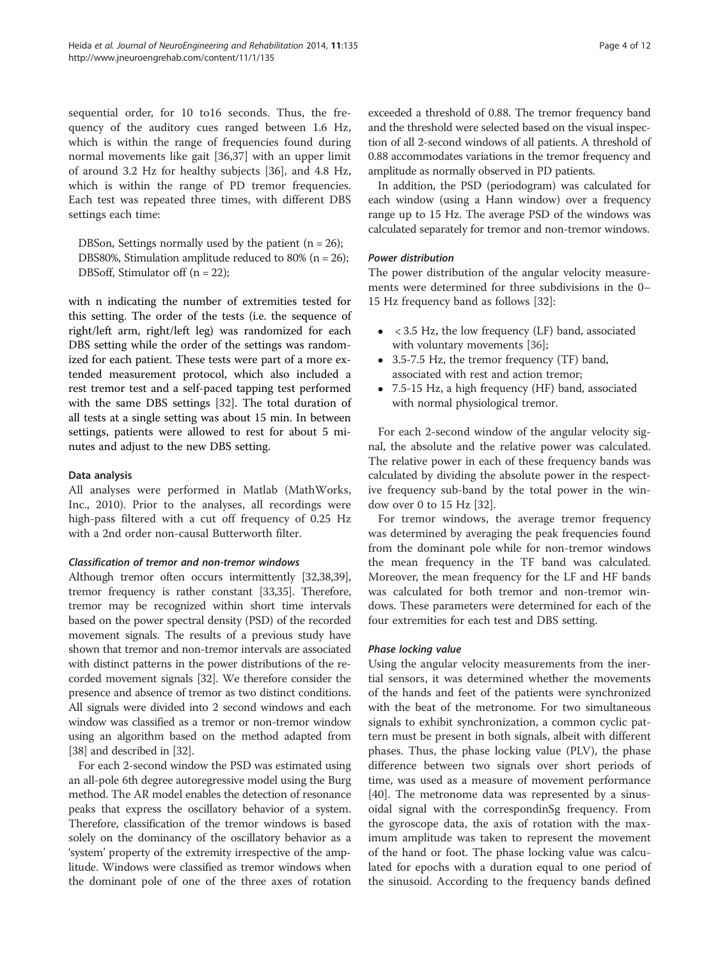sequential order, for 10 to16 seconds. Thus, the frequency of the auditory cues ranged between 1.6 Hz, which is within the range of frequencies found during normal movements like gait [\[36,37](#page-10-0)] with an upper limit of around 3.2 Hz for healthy subjects [\[36](#page-10-0)], and 4.8 Hz, which is within the range of PD tremor frequencies. Each test was repeated three times, with different DBS settings each time:

DBSon, Settings normally used by the patient  $(n = 26)$ ; DBS80%, Stimulation amplitude reduced to 80% ( $n = 26$ ); DBSoff, Stimulator off (n = 22);

with n indicating the number of extremities tested for this setting. The order of the tests (i.e. the sequence of right/left arm, right/left leg) was randomized for each DBS setting while the order of the settings was randomized for each patient. These tests were part of a more extended measurement protocol, which also included a rest tremor test and a self-paced tapping test performed with the same DBS settings [\[32](#page-10-0)]. The total duration of all tests at a single setting was about 15 min. In between settings, patients were allowed to rest for about 5 minutes and adjust to the new DBS setting.

#### Data analysis

All analyses were performed in Matlab (MathWorks, Inc., 2010). Prior to the analyses, all recordings were high-pass filtered with a cut off frequency of 0.25 Hz with a 2nd order non-causal Butterworth filter.

#### Classification of tremor and non-tremor windows

Although tremor often occurs intermittently [[32,38,](#page-10-0)[39](#page-11-0)], tremor frequency is rather constant [[33,35\]](#page-10-0). Therefore, tremor may be recognized within short time intervals based on the power spectral density (PSD) of the recorded movement signals. The results of a previous study have shown that tremor and non-tremor intervals are associated with distinct patterns in the power distributions of the recorded movement signals [\[32\]](#page-10-0). We therefore consider the presence and absence of tremor as two distinct conditions. All signals were divided into 2 second windows and each window was classified as a tremor or non-tremor window using an algorithm based on the method adapted from [[38](#page-10-0)] and described in [\[32](#page-10-0)].

For each 2-second window the PSD was estimated using an all-pole 6th degree autoregressive model using the Burg method. The AR model enables the detection of resonance peaks that express the oscillatory behavior of a system. Therefore, classification of the tremor windows is based solely on the dominancy of the oscillatory behavior as a 'system' property of the extremity irrespective of the amplitude. Windows were classified as tremor windows when the dominant pole of one of the three axes of rotation exceeded a threshold of 0.88. The tremor frequency band and the threshold were selected based on the visual inspection of all 2-second windows of all patients. A threshold of 0.88 accommodates variations in the tremor frequency and amplitude as normally observed in PD patients.

In addition, the PSD (periodogram) was calculated for each window (using a Hann window) over a frequency range up to 15 Hz. The average PSD of the windows was calculated separately for tremor and non-tremor windows.

#### Power distribution

The power distribution of the angular velocity measurements were determined for three subdivisions in the 0– 15 Hz frequency band as follows [[32\]](#page-10-0):

- < 3.5 Hz, the low frequency (LF) band, associated with voluntary movements [[36\]](#page-10-0);
- 3.5-7.5 Hz, the tremor frequency (TF) band, associated with rest and action tremor;
- 7.5-15 Hz, a high frequency (HF) band, associated with normal physiological tremor.

For each 2-second window of the angular velocity signal, the absolute and the relative power was calculated. The relative power in each of these frequency bands was calculated by dividing the absolute power in the respective frequency sub-band by the total power in the window over 0 to 15 Hz [\[32](#page-10-0)].

For tremor windows, the average tremor frequency was determined by averaging the peak frequencies found from the dominant pole while for non-tremor windows the mean frequency in the TF band was calculated. Moreover, the mean frequency for the LF and HF bands was calculated for both tremor and non-tremor windows. These parameters were determined for each of the four extremities for each test and DBS setting.

## Phase locking value

Using the angular velocity measurements from the inertial sensors, it was determined whether the movements of the hands and feet of the patients were synchronized with the beat of the metronome. For two simultaneous signals to exhibit synchronization, a common cyclic pattern must be present in both signals, albeit with different phases. Thus, the phase locking value (PLV), the phase difference between two signals over short periods of time, was used as a measure of movement performance [[40\]](#page-11-0). The metronome data was represented by a sinusoidal signal with the correspondinSg frequency. From the gyroscope data, the axis of rotation with the maximum amplitude was taken to represent the movement of the hand or foot. The phase locking value was calculated for epochs with a duration equal to one period of the sinusoid. According to the frequency bands defined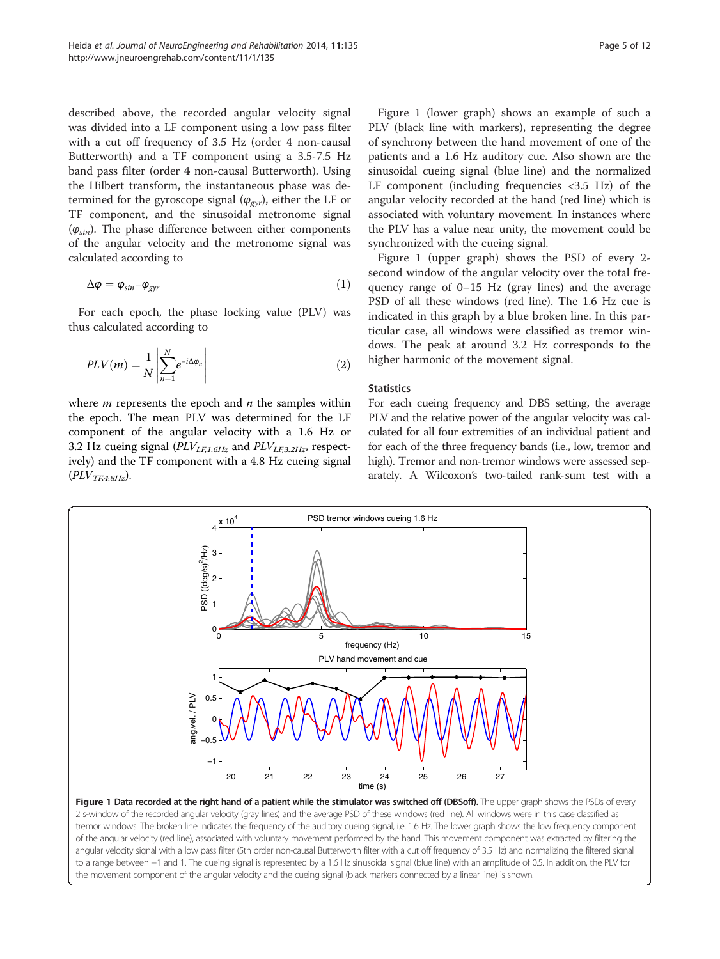described above, the recorded angular velocity signal was divided into a LF component using a low pass filter with a cut off frequency of 3.5 Hz (order 4 non-causal Butterworth) and a TF component using a 3.5-7.5 Hz band pass filter (order 4 non-causal Butterworth). Using the Hilbert transform, the instantaneous phase was determined for the gyroscope signal  $(\varphi_{\varphi,\psi})$ , either the LF or TF component, and the sinusoidal metronome signal  $(\varphi_{sin})$ . The phase difference between either components of the angular velocity and the metronome signal was calculated according to

$$
\Delta \varphi = \varphi_{\text{sin}} - \varphi_{\text{gyr}} \tag{1}
$$

For each epoch, the phase locking value (PLV) was thus calculated according to

$$
PLV(m) = \frac{1}{N} \left| \sum_{n=1}^{N} e^{-i\Delta \varphi_n} \right| \tag{2}
$$

where  $m$  represents the epoch and  $n$  the samples within the epoch. The mean PLV was determined for the LF component of the angular velocity with a 1.6 Hz or 3.2 Hz cueing signal ( $PLV_{LE,1.6Hz}$  and  $PLV_{LE,3.2Hz}$ , respectively) and the TF component with a 4.8 Hz cueing signal  $(PLV_{TE4.8Hz}).$ 

Figure 1 (lower graph) shows an example of such a PLV (black line with markers), representing the degree of synchrony between the hand movement of one of the patients and a 1.6 Hz auditory cue. Also shown are the sinusoidal cueing signal (blue line) and the normalized LF component (including frequencies  $\langle 3.5 \rangle$  Hz) of the angular velocity recorded at the hand (red line) which is associated with voluntary movement. In instances where the PLV has a value near unity, the movement could be synchronized with the cueing signal.

Figure 1 (upper graph) shows the PSD of every 2 second window of the angular velocity over the total frequency range of 0–15 Hz (gray lines) and the average PSD of all these windows (red line). The 1.6 Hz cue is indicated in this graph by a blue broken line. In this particular case, all windows were classified as tremor windows. The peak at around 3.2 Hz corresponds to the higher harmonic of the movement signal.

#### **Statistics**

For each cueing frequency and DBS setting, the average PLV and the relative power of the angular velocity was calculated for all four extremities of an individual patient and for each of the three frequency bands (i.e., low, tremor and high). Tremor and non-tremor windows were assessed separately. A Wilcoxon's two-tailed rank-sum test with a



2 s-window of the recorded angular velocity (gray lines) and the average PSD of these windows (red line). All windows were in this case classified as tremor windows. The broken line indicates the frequency of the auditory cueing signal, i.e. 1.6 Hz. The lower graph shows the low frequency component of the angular velocity (red line), associated with voluntary movement performed by the hand. This movement component was extracted by filtering the angular velocity signal with a low pass filter (5th order non-causal Butterworth filter with a cut off frequency of 3.5 Hz) and normalizing the filtered signal to a range between −1 and 1. The cueing signal is represented by a 1.6 Hz sinusoidal signal (blue line) with an amplitude of 0.5. In addition, the PLV for the movement component of the angular velocity and the cueing signal (black markers connected by a linear line) is shown.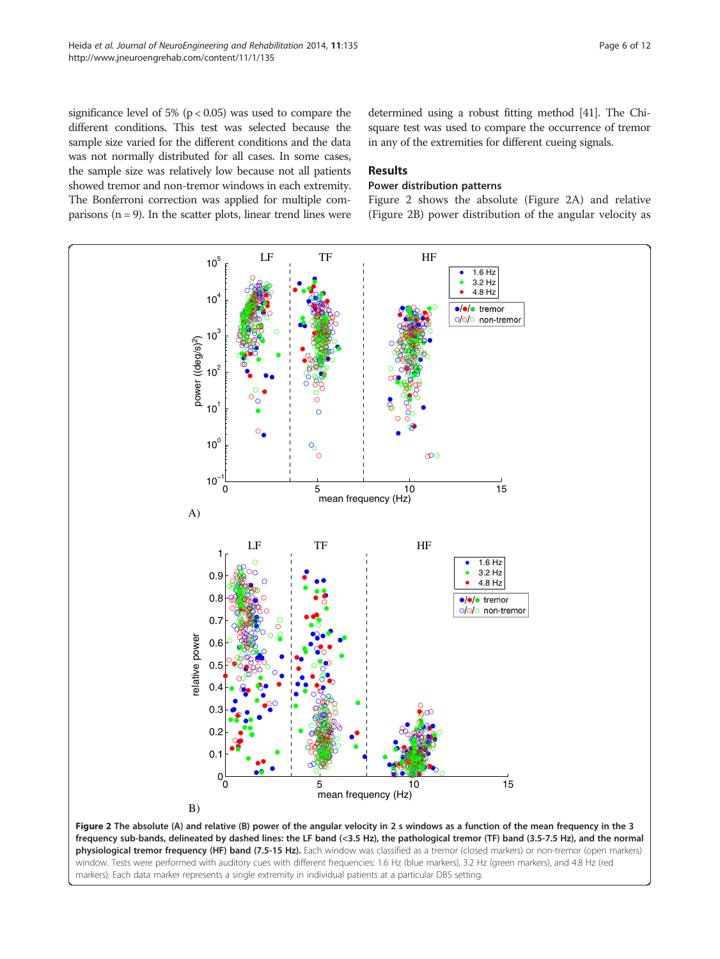significance level of 5% ( $p < 0.05$ ) was used to compare the different conditions. This test was selected because the sample size varied for the different conditions and the data was not normally distributed for all cases. In some cases, the sample size was relatively low because not all patients showed tremor and non-tremor windows in each extremity. The Bonferroni correction was applied for multiple comparisons  $(n = 9)$ . In the scatter plots, linear trend lines were

determined using a robust fitting method [\[41\]](#page-11-0). The Chisquare test was used to compare the occurrence of tremor in any of the extremities for different cueing signals.

## Results

## Power distribution patterns

Figure 2 shows the absolute (Figure 2A) and relative (Figure 2B) power distribution of the angular velocity as



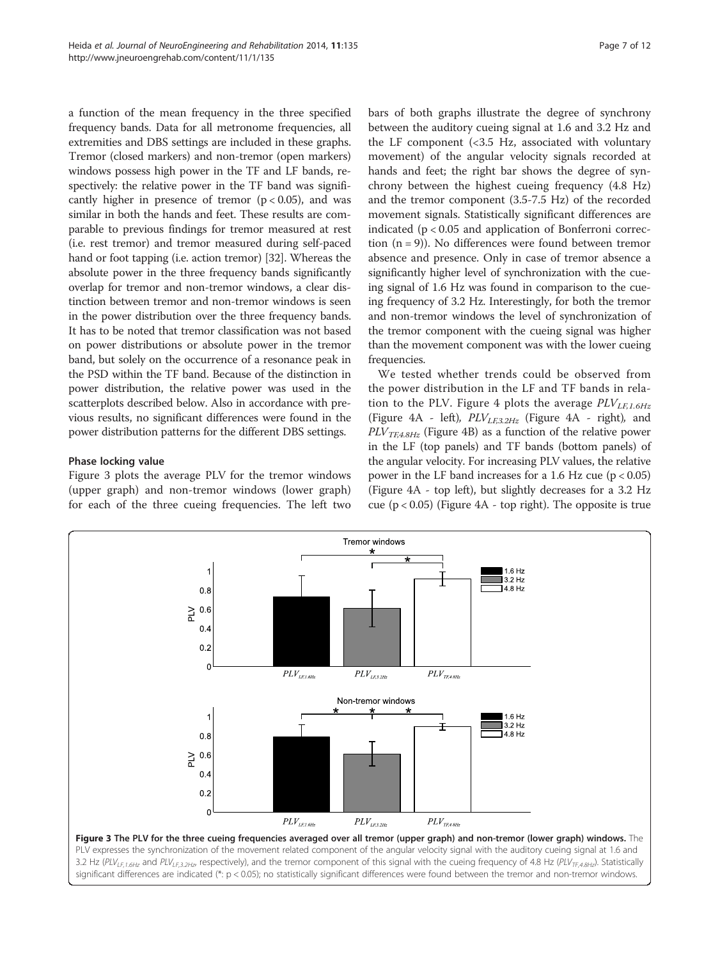<span id="page-6-0"></span>a function of the mean frequency in the three specified frequency bands. Data for all metronome frequencies, all extremities and DBS settings are included in these graphs. Tremor (closed markers) and non-tremor (open markers) windows possess high power in the TF and LF bands, respectively: the relative power in the TF band was significantly higher in presence of tremor  $(p < 0.05)$ , and was similar in both the hands and feet. These results are comparable to previous findings for tremor measured at rest (i.e. rest tremor) and tremor measured during self-paced hand or foot tapping (i.e. action tremor) [\[32\]](#page-10-0). Whereas the absolute power in the three frequency bands significantly overlap for tremor and non-tremor windows, a clear distinction between tremor and non-tremor windows is seen in the power distribution over the three frequency bands. It has to be noted that tremor classification was not based on power distributions or absolute power in the tremor band, but solely on the occurrence of a resonance peak in the PSD within the TF band. Because of the distinction in power distribution, the relative power was used in the scatterplots described below. Also in accordance with previous results, no significant differences were found in the power distribution patterns for the different DBS settings.

## Phase locking value

Figure 3 plots the average PLV for the tremor windows (upper graph) and non-tremor windows (lower graph) for each of the three cueing frequencies. The left two bars of both graphs illustrate the degree of synchrony between the auditory cueing signal at 1.6 and 3.2 Hz and the LF component (<3.5 Hz, associated with voluntary movement) of the angular velocity signals recorded at hands and feet; the right bar shows the degree of synchrony between the highest cueing frequency (4.8 Hz) and the tremor component (3.5-7.5 Hz) of the recorded movement signals. Statistically significant differences are indicated (p < 0.05 and application of Bonferroni correction  $(n = 9)$ ). No differences were found between tremor absence and presence. Only in case of tremor absence a significantly higher level of synchronization with the cueing signal of 1.6 Hz was found in comparison to the cueing frequency of 3.2 Hz. Interestingly, for both the tremor and non-tremor windows the level of synchronization of the tremor component with the cueing signal was higher than the movement component was with the lower cueing frequencies.

We tested whether trends could be observed from the power distribution in the LF and TF bands in rela-tion to the PLV. Figure [4](#page-7-0) plots the average  $PLV_{LEL6Hz}$ (Figure [4](#page-7-0)A - left),  $PLV_{LE3.2Hz}$  (Figure 4A - right), and  $PLV_{TE4.8Hz}$  (Figure [4](#page-7-0)B) as a function of the relative power in the LF (top panels) and TF bands (bottom panels) of the angular velocity. For increasing PLV values, the relative power in the LF band increases for a 1.6 Hz cue ( $p < 0.05$ ) (Figure [4A](#page-7-0) - top left), but slightly decreases for a 3.2 Hz cue  $(p < 0.05)$  (Figure [4A](#page-7-0) - top right). The opposite is true

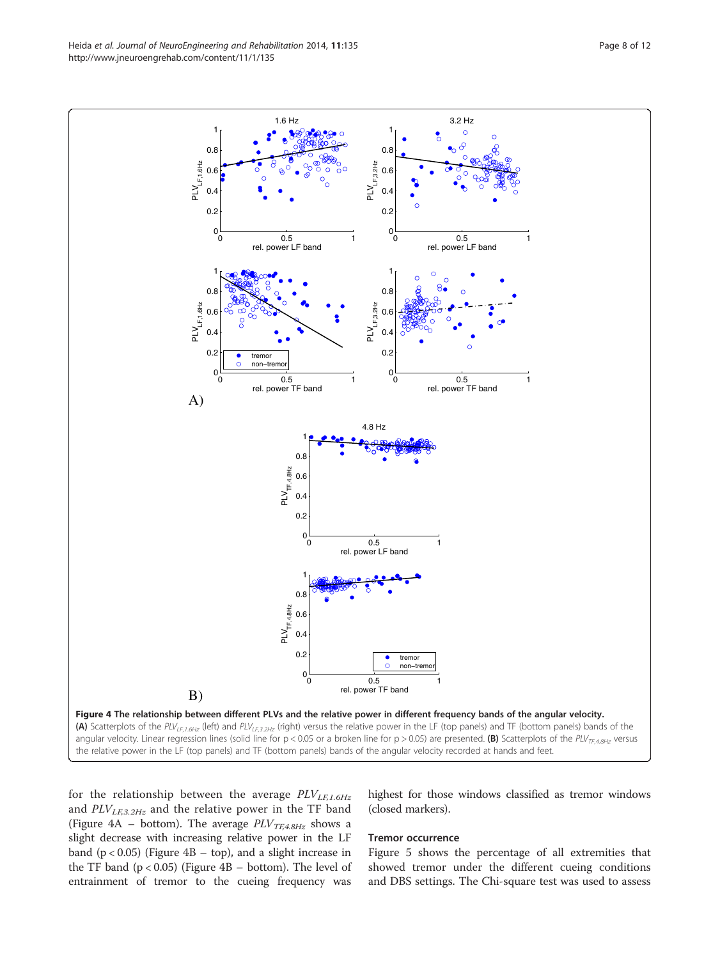<span id="page-7-0"></span>Heida et al. Journal of NeuroEngineering and Rehabilitation 2014, 11:135 Page 8 of 12 http://www.jneuroengrehab.com/content/11/1/135



for the relationship between the average  $PLV_{LF,1.6Hz}$ and  $PLV_{LF,3.2Hz}$  and the relative power in the TF band (Figure 4A – bottom). The average  $\mathit{PLV}_{\mathit{T}\mathit{F},4.8\mathit{Hz}}$  shows a slight decrease with increasing relative power in the LF band  $(p < 0.05)$  (Figure 4B – top), and a slight increase in the TF band  $(p < 0.05)$  (Figure 4B – bottom). The level of entrainment of tremor to the cueing frequency was

highest for those windows classified as tremor windows (closed markers).

## Tremor occurrence

Figure [5](#page-8-0) shows the percentage of all extremities that showed tremor under the different cueing conditions and DBS settings. The Chi-square test was used to assess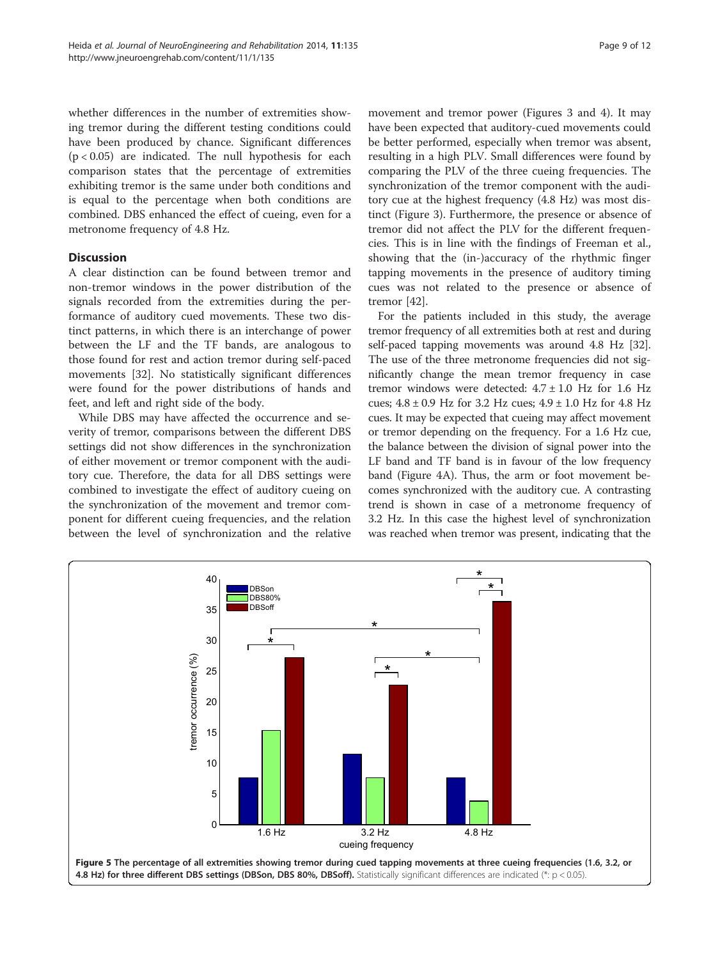<span id="page-8-0"></span>whether differences in the number of extremities showing tremor during the different testing conditions could have been produced by chance. Significant differences  $(p < 0.05)$  are indicated. The null hypothesis for each comparison states that the percentage of extremities exhibiting tremor is the same under both conditions and is equal to the percentage when both conditions are combined. DBS enhanced the effect of cueing, even for a metronome frequency of 4.8 Hz.

## **Discussion**

A clear distinction can be found between tremor and non-tremor windows in the power distribution of the signals recorded from the extremities during the performance of auditory cued movements. These two distinct patterns, in which there is an interchange of power between the LF and the TF bands, are analogous to those found for rest and action tremor during self-paced movements [\[32\]](#page-10-0). No statistically significant differences were found for the power distributions of hands and feet, and left and right side of the body.

While DBS may have affected the occurrence and severity of tremor, comparisons between the different DBS settings did not show differences in the synchronization of either movement or tremor component with the auditory cue. Therefore, the data for all DBS settings were combined to investigate the effect of auditory cueing on the synchronization of the movement and tremor component for different cueing frequencies, and the relation between the level of synchronization and the relative

movement and tremor power (Figures [3](#page-6-0) and [4\)](#page-7-0). It may have been expected that auditory-cued movements could be better performed, especially when tremor was absent, resulting in a high PLV. Small differences were found by comparing the PLV of the three cueing frequencies. The synchronization of the tremor component with the auditory cue at the highest frequency (4.8 Hz) was most distinct (Figure [3](#page-6-0)). Furthermore, the presence or absence of tremor did not affect the PLV for the different frequencies. This is in line with the findings of Freeman et al., showing that the (in-)accuracy of the rhythmic finger tapping movements in the presence of auditory timing cues was not related to the presence or absence of tremor [\[42\]](#page-11-0).

For the patients included in this study, the average tremor frequency of all extremities both at rest and during self-paced tapping movements was around 4.8 Hz [[32](#page-10-0)]. The use of the three metronome frequencies did not significantly change the mean tremor frequency in case tremor windows were detected:  $4.7 \pm 1.0$  Hz for 1.6 Hz cues; 4.8 ± 0.9 Hz for 3.2 Hz cues; 4.9 ± 1.0 Hz for 4.8 Hz cues. It may be expected that cueing may affect movement or tremor depending on the frequency. For a 1.6 Hz cue, the balance between the division of signal power into the LF band and TF band is in favour of the low frequency band (Figure [4](#page-7-0)A). Thus, the arm or foot movement becomes synchronized with the auditory cue. A contrasting trend is shown in case of a metronome frequency of 3.2 Hz. In this case the highest level of synchronization was reached when tremor was present, indicating that the

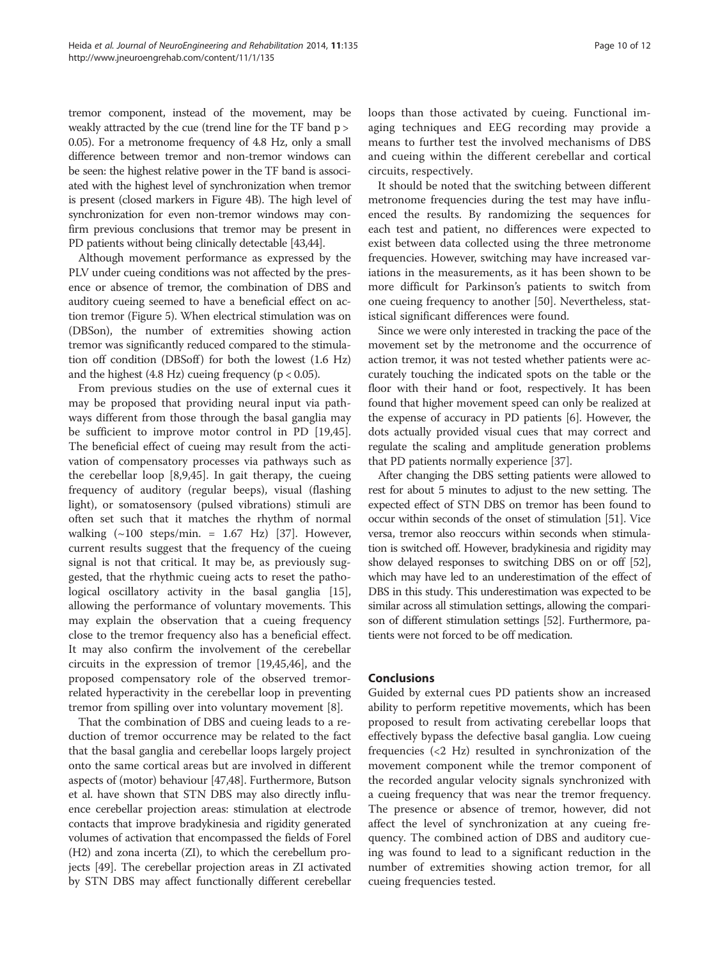tremor component, instead of the movement, may be weakly attracted by the cue (trend line for the TF band p > 0.05). For a metronome frequency of 4.8 Hz, only a small difference between tremor and non-tremor windows can be seen: the highest relative power in the TF band is associated with the highest level of synchronization when tremor is present (closed markers in Figure [4B](#page-7-0)). The high level of synchronization for even non-tremor windows may confirm previous conclusions that tremor may be present in PD patients without being clinically detectable [\[43,44](#page-11-0)].

Although movement performance as expressed by the PLV under cueing conditions was not affected by the presence or absence of tremor, the combination of DBS and auditory cueing seemed to have a beneficial effect on action tremor (Figure [5](#page-8-0)). When electrical stimulation was on (DBSon), the number of extremities showing action tremor was significantly reduced compared to the stimulation off condition (DBSoff) for both the lowest  $(1.6 \text{ Hz})$ and the highest  $(4.8 \text{ Hz})$  cueing frequency  $(p < 0.05)$ .

From previous studies on the use of external cues it may be proposed that providing neural input via pathways different from those through the basal ganglia may be sufficient to improve motor control in PD [\[19](#page-10-0)[,45](#page-11-0)]. The beneficial effect of cueing may result from the activation of compensatory processes via pathways such as the cerebellar loop [\[8](#page-10-0),[9](#page-10-0),[45](#page-11-0)]. In gait therapy, the cueing frequency of auditory (regular beeps), visual (flashing light), or somatosensory (pulsed vibrations) stimuli are often set such that it matches the rhythm of normal walking  $(\sim 100$  steps/min. = 1.67 Hz) [\[37](#page-10-0)]. However, current results suggest that the frequency of the cueing signal is not that critical. It may be, as previously suggested, that the rhythmic cueing acts to reset the patho-logical oscillatory activity in the basal ganglia [\[15](#page-10-0)], allowing the performance of voluntary movements. This may explain the observation that a cueing frequency close to the tremor frequency also has a beneficial effect. It may also confirm the involvement of the cerebellar circuits in the expression of tremor [\[19](#page-10-0)[,45,46\]](#page-11-0), and the proposed compensatory role of the observed tremorrelated hyperactivity in the cerebellar loop in preventing tremor from spilling over into voluntary movement [[8\]](#page-10-0).

That the combination of DBS and cueing leads to a reduction of tremor occurrence may be related to the fact that the basal ganglia and cerebellar loops largely project onto the same cortical areas but are involved in different aspects of (motor) behaviour [\[47,48\]](#page-11-0). Furthermore, Butson et al. have shown that STN DBS may also directly influence cerebellar projection areas: stimulation at electrode contacts that improve bradykinesia and rigidity generated volumes of activation that encompassed the fields of Forel (H2) and zona incerta (ZI), to which the cerebellum projects [\[49](#page-11-0)]. The cerebellar projection areas in ZI activated by STN DBS may affect functionally different cerebellar loops than those activated by cueing. Functional imaging techniques and EEG recording may provide a means to further test the involved mechanisms of DBS and cueing within the different cerebellar and cortical circuits, respectively.

It should be noted that the switching between different metronome frequencies during the test may have influenced the results. By randomizing the sequences for each test and patient, no differences were expected to exist between data collected using the three metronome frequencies. However, switching may have increased variations in the measurements, as it has been shown to be more difficult for Parkinson's patients to switch from one cueing frequency to another [\[50\]](#page-11-0). Nevertheless, statistical significant differences were found.

Since we were only interested in tracking the pace of the movement set by the metronome and the occurrence of action tremor, it was not tested whether patients were accurately touching the indicated spots on the table or the floor with their hand or foot, respectively. It has been found that higher movement speed can only be realized at the expense of accuracy in PD patients [\[6](#page-10-0)]. However, the dots actually provided visual cues that may correct and regulate the scaling and amplitude generation problems that PD patients normally experience [[37](#page-10-0)].

After changing the DBS setting patients were allowed to rest for about 5 minutes to adjust to the new setting. The expected effect of STN DBS on tremor has been found to occur within seconds of the onset of stimulation [\[51\]](#page-11-0). Vice versa, tremor also reoccurs within seconds when stimulation is switched off. However, bradykinesia and rigidity may show delayed responses to switching DBS on or off [\[52](#page-11-0)], which may have led to an underestimation of the effect of DBS in this study. This underestimation was expected to be similar across all stimulation settings, allowing the comparison of different stimulation settings [[52](#page-11-0)]. Furthermore, patients were not forced to be off medication.

#### Conclusions

Guided by external cues PD patients show an increased ability to perform repetitive movements, which has been proposed to result from activating cerebellar loops that effectively bypass the defective basal ganglia. Low cueing frequencies (<2 Hz) resulted in synchronization of the movement component while the tremor component of the recorded angular velocity signals synchronized with a cueing frequency that was near the tremor frequency. The presence or absence of tremor, however, did not affect the level of synchronization at any cueing frequency. The combined action of DBS and auditory cueing was found to lead to a significant reduction in the number of extremities showing action tremor, for all cueing frequencies tested.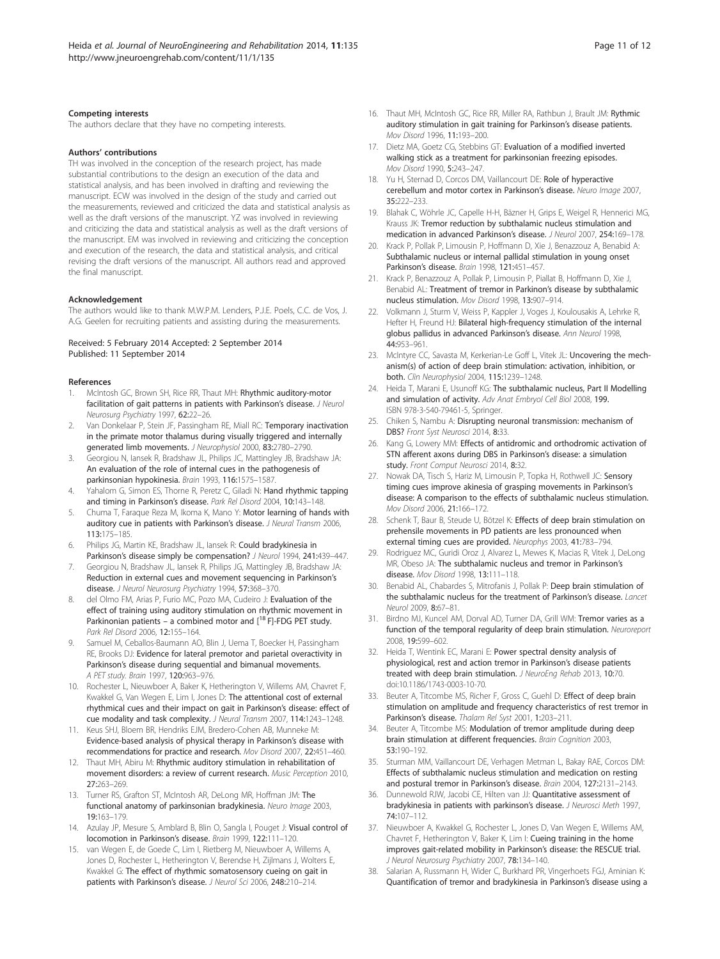#### <span id="page-10-0"></span>Competing interests

The authors declare that they have no competing interests.

#### Authors' contributions

TH was involved in the conception of the research project, has made substantial contributions to the design an execution of the data and statistical analysis, and has been involved in drafting and reviewing the manuscript. ECW was involved in the design of the study and carried out the measurements, reviewed and criticized the data and statistical analysis as well as the draft versions of the manuscript. YZ was involved in reviewing and criticizing the data and statistical analysis as well as the draft versions of the manuscript. EM was involved in reviewing and criticizing the conception and execution of the research, the data and statistical analysis, and critical revising the draft versions of the manuscript. All authors read and approved the final manuscript.

#### Acknowledgement

The authors would like to thank M.W.P.M. Lenders, P.J.E. Poels, C.C. de Vos, J. A.G. Geelen for recruiting patients and assisting during the measurements.

#### Received: 5 February 2014 Accepted: 2 September 2014 Published: 11 September 2014

#### References

- McIntosh GC, Brown SH, Rice RR, Thaut MH: Rhythmic auditory-motor facilitation of gait patterns in patients with Parkinson's disease. J Neurol Neurosurg Psychiatry 1997, 62:22–26.
- Van Donkelaar P, Stein JF, Passingham RE, Miall RC: Temporary inactivation in the primate motor thalamus during visually triggered and internally generated limb movements. J Neurophysiol 2000, 83:2780–2790.
- 3. Georgiou N, Iansek R, Bradshaw JL, Philips JC, Mattingley JB, Bradshaw JA: An evaluation of the role of internal cues in the pathogenesis of parkinsonian hypokinesia. Brain 1993, 116:1575–1587.
- Yahalom G, Simon ES, Thorne R, Peretz C, Giladi N: Hand rhythmic tapping and timing in Parkinson's disease. Park Rel Disord 2004, 10:143–148.
- 5. Chuma T, Faraque Reza M, Ikoma K, Mano Y: Motor learning of hands with auditory cue in patients with Parkinson's disease. J Neural Transm 2006, 113:175–185.
- Philips JG, Martin KE, Bradshaw JL, Iansek R: Could bradykinesia in Parkinson's disease simply be compensation? J Neurol 1994, 241:439-447.
- 7. Georgiou N, Bradshaw JL, Iansek R, Philips JG, Mattingley JB, Bradshaw JA: Reduction in external cues and movement sequencing in Parkinson's disease. J Neurol Neurosurg Psychiatry 1994, 57:368–370.
- del Olmo FM, Arias P, Furio MC, Pozo MA, Cudeiro J: Evaluation of the effect of training using auditory stimulation on rhythmic movement in Parkinonian patients – a combined motor and  $[18$  F]-FDG PET study. Park Rel Disord 2006, 12:155–164.
- Samuel M, Ceballos-Baumann AO, Blin J, Uema T, Boecker H, Passingham RE, Brooks DJ: Evidence for lateral premotor and parietal overactivity in Parkinson's disease during sequential and bimanual movements. A PET study. Brain 1997, 120:963–976.
- 10. Rochester L, Nieuwboer A, Baker K, Hetherington V, Willems AM, Chavret F, Kwakkel G, Van Wegen E, Lim I, Jones D: The attentional cost of external rhythmical cues and their impact on gait in Parkinson's disease: effect of cue modality and task complexity. J Neural Transm 2007, 114:1243–1248.
- 11. Keus SHJ, Bloem BR, Hendriks EJM, Bredero-Cohen AB, Munneke M: Evidence-based analysis of physical therapy in Parkinson's disease with recommendations for practice and research. Mov Disord 2007, 22:451–460.
- 12. Thaut MH, Abiru M: Rhythmic auditory stimulation in rehabilitation of movement disorders: a review of current research. Music Perception 2010, 27:263–269.
- 13. Turner RS, Grafton ST, McIntosh AR, DeLong MR, Hoffman JM: The functional anatomy of parkinsonian bradykinesia. Neuro Image 2003, 19:163–179.
- 14. Azulay JP, Mesure S, Amblard B, Blin O, Sangla I, Pouget J: Visual control of locomotion in Parkinson's disease. Brain 1999, 122:111–120.
- 15. van Wegen E, de Goede C, Lim I, Rietberg M, Nieuwboer A, Willems A, Jones D, Rochester L, Hetherington V, Berendse H, Zijlmans J, Wolters E, Kwakkel G: The effect of rhythmic somatosensory cueing on gait in patients with Parkinson's disease. J Neurol Sci 2006, 248:210-214.
- 16. Thaut MH, McIntosh GC, Rice RR, Miller RA, Rathbun J, Brault JM: Rythmic auditory stimulation in gait training for Parkinson's disease patients. Mov Disord 1996, 11:193–200.
- 17. Dietz MA, Goetz CG, Stebbins GT: Evaluation of a modified inverted walking stick as a treatment for parkinsonian freezing episodes. Mov Disord 1990, 5:243–247.
- 18. Yu H, Sternad D, Corcos DM, Vaillancourt DF: Role of hyperactive cerebellum and motor cortex in Parkinson's disease. Neuro Image 2007,  $35.222 - 233$
- 19. Blahak C, Wöhrle JC, Capelle H-H, Bäzner H, Grips E, Weigel R, Hennerici MG, Krauss JK: Tremor reduction by subthalamic nucleus stimulation and medication in advanced Parkinson's disease. J Neurol 2007, 254:169–178.
- 20. Krack P, Pollak P, Limousin P, Hoffmann D, Xie J, Benazzouz A, Benabid A: Subthalamic nucleus or internal pallidal stimulation in young onset Parkinson's disease. Brain 1998, 121:451–457.
- 21. Krack P, Benazzouz A, Pollak P, Limousin P, Piallat B, Hoffmann D, Xie J, Benabid AL: Treatment of tremor in Parkinon's disease by subthalamic nucleus stimulation. Mov Disord 1998, 13:907–914.
- Volkmann J, Sturm V, Weiss P, Kappler J, Voges J, Koulousakis A, Lehrke R, Hefter H, Freund HJ: Bilateral high-frequency stimulation of the internal globus pallidus in advanced Parkinson's disease. Ann Neurol 1998, 44:953–961.
- 23. McIntyre CC, Savasta M, Kerkerian-Le Goff L, Vitek JL: Uncovering the mechanism(s) of action of deep brain stimulation: activation, inhibition, or both. Clin Neurophysiol 2004, 115:1239–1248.
- 24. Heida T, Marani E, Usunoff KG: The subthalamic nucleus, Part II Modelling and simulation of activity. Adv Anat Embryol Cell Biol 2008, 199. ISBN 978-3-540-79461-5, Springer.
- 25. Chiken S, Nambu A: Disrupting neuronal transmission: mechanism of DBS? Front Syst Neurosci 2014, 8:33.
- 26. Kang G, Lowery MM: Effects of antidromic and orthodromic activation of STN afferent axons during DBS in Parkinson's disease: a simulation study. Front Comput Neurosci 2014, 8:32.
- 27. Nowak DA, Tisch S, Hariz M, Limousin P, Topka H, Rothwell JC: Sensory timing cues improve akinesia of grasping movements in Parkinson's disease: A comparison to the effects of subthalamic nucleus stimulation. Mov Disord 2006, 21:166–172.
- 28. Schenk T, Baur B, Steude U, Bötzel K: Effects of deep brain stimulation on prehensile movements in PD patients are less pronounced when external timing cues are provided. Neurophys 2003, 41:783–794.
- 29. Rodriguez MC, Guridi Oroz J, Alvarez L, Mewes K, Macias R, Vitek J, DeLong MR, Obeso JA: The subthalamic nucleus and tremor in Parkinson's disease. Mov Disord 1998, 13:111–118.
- 30. Benabid AL, Chabardes S, Mitrofanis J, Pollak P: Deep brain stimulation of the subthalamic nucleus for the treatment of Parkinson's disease. Lancet Neurol 2009, 8:67–81.
- 31. Birdno MJ, Kuncel AM, Dorval AD, Turner DA, Grill WM: Tremor varies as a function of the temporal regularity of deep brain stimulation. Neuroreport 2008, 19:599–602.
- 32. Heida T, Wentink EC, Marani E: Power spectral density analysis of physiological, rest and action tremor in Parkinson's disease patients treated with deep brain stimulation. J NeuroEng Rehab 2013, 10:70. doi:10.1186/1743-0003-10-70.
- 33. Beuter A, Titcombe MS, Richer F, Gross C, Guehl D: Effect of deep brain stimulation on amplitude and frequency characteristics of rest tremor in Parkinson's disease. Thalam Rel Syst 2001, 1:203-211.
- Beuter A, Titcombe MS: Modulation of tremor amplitude during deep brain stimulation at different frequencies. Brain Cognition 2003, 53:190–192.
- 35. Sturman MM, Vaillancourt DE, Verhagen Metman L, Bakay RAE, Corcos DM: Effects of subthalamic nucleus stimulation and medication on resting and postural tremor in Parkinson's disease. Brain 2004, 127:2131–2143.
- 36. Dunnewold RJW, Jacobi CE, Hilten van JJ: Quantitative assessment of bradykinesia in patients with parkinson's disease. J Neurosci Meth 1997, 74:107–112.
- 37. Nieuwboer A, Kwakkel G, Rochester L, Jones D, Van Wegen E, Willems AM, Chavret F, Hetherington V, Baker K, Lim I: Cueing training in the home improves gait-related mobility in Parkinson's disease: the RESCUE trial. J Neurol Neurosurg Psychiatry 2007, 78:134–140.
- 38. Salarian A, Russmann H, Wider C, Burkhard PR, Vingerhoets FGJ, Aminian K: Quantification of tremor and bradykinesia in Parkinson's disease using a